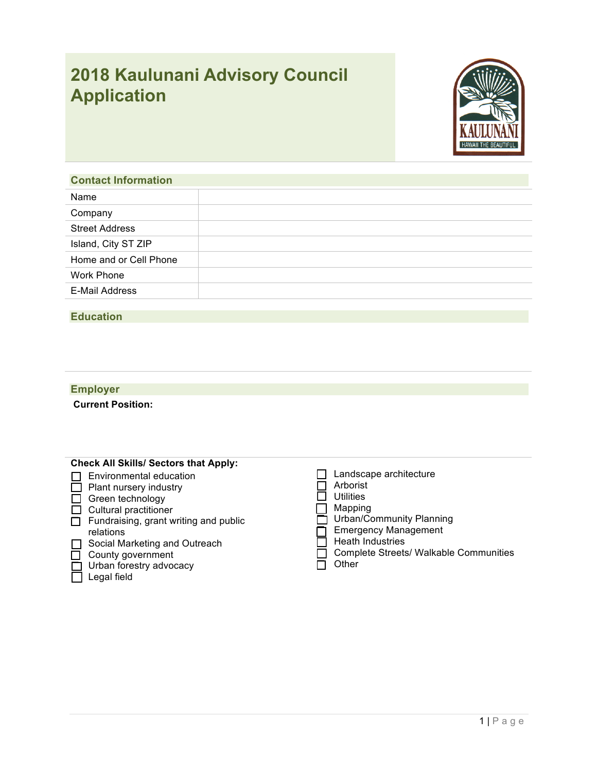# **2018 Kaulunani Advisory Council Application**



## **Contact Information**

| Name                   |  |
|------------------------|--|
| Company                |  |
| <b>Street Address</b>  |  |
| Island, City ST ZIP    |  |
| Home and or Cell Phone |  |
| <b>Work Phone</b>      |  |
| E-Mail Address         |  |
|                        |  |

### **Education**

## **Employer**

**Current Position:**

| <b>Check All Skills/ Sectors that Apply:</b>                                                                                                         |                                                                                                                              |
|------------------------------------------------------------------------------------------------------------------------------------------------------|------------------------------------------------------------------------------------------------------------------------------|
| Environmental education<br>Plant nursery industry<br>Green technology<br>Cultural practitioner<br>Fundraising, grant writing and public<br>relations | Landscape architecture<br>Arborist<br><b>Utilities</b><br>Mapping<br>Urban/Community Planning<br><b>Emergency Management</b> |
| Social Marketing and Outreach                                                                                                                        | <b>Heath Industries</b>                                                                                                      |
| County government                                                                                                                                    | <b>Complete Streets/ Walkable Communities</b>                                                                                |
| Urban forestry advocacy                                                                                                                              | Other                                                                                                                        |
| Legal field                                                                                                                                          |                                                                                                                              |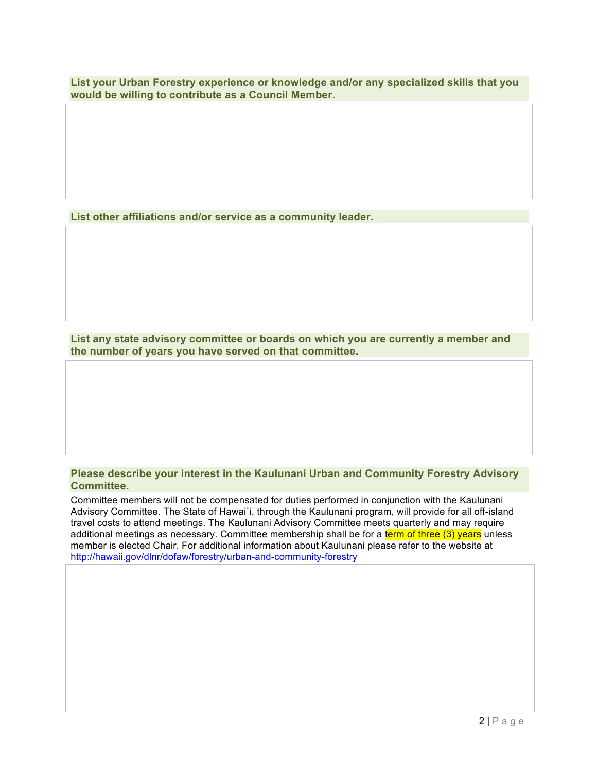**List your Urban Forestry experience or knowledge and/or any specialized skills that you would be willing to contribute as a Council Member.** 

**List other affiliations and/or service as a community leader.**

**List any state advisory committee or boards on which you are currently a member and the number of years you have served on that committee.**

#### **Please describe your interest in the Kaulunani Urban and Community Forestry Advisory Committee.**

Committee members will not be compensated for duties performed in conjunction with the Kaulunani Advisory Committee. The State of Hawai`i, through the Kaulunani program, will provide for all off-island travel costs to attend meetings. The Kaulunani Advisory Committee meets quarterly and may require additional meetings as necessary. Committee membership shall be for a term of three (3) years unless member is elected Chair. For additional information about Kaulunani please refer to the website at http://hawaii.gov/dlnr/dofaw/forestry/urban-and-community-forestry